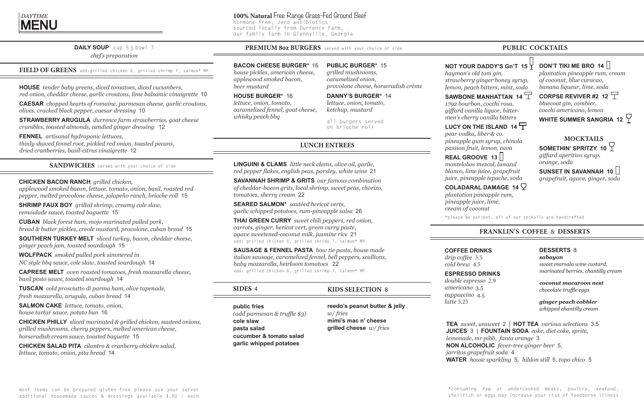## **DAILY SOUP**cup 5 | bowl 7 *chef's preparation*

FIELD OF GREENS add:grilled chicken 6, grilled shrimp 7, salmon\* MP

**HOUSE** *tender baby greens, diced tomatoes, diced cucumbers, red onion, cheddar cheese, garlic croutons, lime balsamic vinaigrette* 10

**CAESAR** *chopped hearts of romaine, parmesan cheese, garlic croutons, olives, cracked black pepper, caesar dressing* 10

**STRAWBERRY ARUGULA** *durrence farm strawberries, goat cheese crumbles, toasted almonds, candied ginger dressing* 12

**FENNEL** *artisanal hydroponic lettuces, thinly shaved fennel root, pickled red onion, toasted pecans, dried cranberries, basil-citrus vinaigrette* 12

## **LUNCH ENTREES**

**LINGUINI & CLAMS** *little neck clams, olive oil, garlic, red pepper flakes, english peas, parsley, white wine* 21

**SAVANNAH SHRIMP & GRITS** *our famous combination of cheddar-bacon grits, local shrimp, sweet peas, chorizo, tomatoes, sherry cream* 22

**SEARED SALMON\*** *sautéed hericot verts, garlic whipped potatoes, rum-pineapple salsa* 26

**THAI GREEN CURRY** *sweet chili peppers, red onion, carrots, ginger, hericot vert, green curry paste, agave sweetened-coconut milk, jasmine rice* 21 add: grilled chicken 6, grilled shrimp 7, salmon\* MP

**SAUSAGE & FENNEL PASTA** *bow tie pasta, house made italian sausage, caramelized fennel, bell peppers, scallions, baby mozzarella, heirloom tomatoes* 22 add: grilled chicken 6, grilled shrimp 7, salmon\* MP

## **PUBLIC COCKTAILS**



**PUBLIC BURGER\*** 15 *grilled mushrooms, caramelized onion, provolone cheese, horseradish crème*

**DANNY'S BURGER\*** 14 *lettuce, onion, tomato, ketchup, mustard*

all burgers served on brioche roll

**KIDS SELECTION** 8

**reedo's peanut butter & jelly** *w/ fries* **mimi's mac n' cheese grilled cheese** *w/ fries*

## **SIDES** 4

**public fries**  *(add parmesan & truffle \$3)* **cole slaw pasta salad cucumber & tomato salad garlic whipped potatoes**

## **PREMIUM 8oz BURGERS** served with your choice of side

### **BACON CHEESE BURGER\*** 16

*house pickles, american cheese, applewood smoked bacon, beer mustard*

## SAWBONE MANHATTAN 14  $\overline{T}$ *1792 bourbon, cocchi rosa, giffard vanilla liquor, bitter-*

#### **HOUSE BURGER\*** 16

*lettuce, onion, tomato, caramelized fennel, goat cheese, whisky peach bbq*

## **SANDWICHES** served with your choice of side

## **CHICKEN BACON RANCH** *grilled chicken,*

*applewood smoked bacon, lettuce, tomato, onion, basil, roasted red pepper, melted provolone cheese, jalapeño ranch, brioche roll* 15

**SHRIMP FAUX BOY** *grilled shrimp, creamy cole slaw, remoulade sauce, toasted baguette* 15

**CUBAN** *black forest ham, mojo marinated pulled pork, bread & butter pickles, creole mustard, provolone, cuban bread* 15

**SOUTHERN TURKEY MELT** *sliced turkey, bacon, cheddar cheese, ginger peach jam, toasted sourdough* 15

**WOLFPACK** *smoked pulled pork simmered in NC style bbq sauce, cole slaw, toasted sourdough* 14

**CAPRESE MELT** *oven roasted tomatoes, fresh mozzarella cheese, basil pesto sauce, toasted sourdough* 14

**TUSCAN** *cold prosciutto di parma ham, olive tapenade, fresh mozzarella, arugula, cuban bread* 14

**SALMON CAKE** *lettuce, tomato, onion, house tartar sauce, potato bun* 16

**CHICKEN PHILLY** *sliced marinated & grilled chicken, sauteed onions, grilled mushrooms, cherry peppers, melted american cheese, horseradish cream sauce, toasted baguette* 15

**CHICKEN SALAD PITA** *cilantro & cranberry chicken salad, lettuce, tomato, onion, pita bread* 14

# **100% Natural** Free Range Grass-Fed Ground Beef hormone-free, zero antibiotics

sourced locally from Durrence Farm, our family farm in Glennville, Georgia

## **FRANKLIN'S COFFEE** & **DESSERTS**

## **COFFEE DRINKS**

*drip coffee* 3.5 *cold brew* 4.5

## **ESPRESSO DRINKS**

*double espresso* 2.9 *americano* 3.5 *cappuccino* 4.5 *latte* 5.25

## **DESSERTS** 8

*sabayon sweet marsala wine custard, marinated berries, chantilly cream*

*coconut macaroon nest chocolate truffle eggs*

*ginger peach cobbler whipped chantilly cream*

**TEA** *sweet, unsweet* 2 | **HOT TEA** *various selections* 3.5 **JUICES** 3 | **FOUNTAIN SODA** *coke, diet coke, sprite, lemonade, mr pibb, fanta orange* 3 **NON ALCOHOLIC** *fever-tree ginger beer* 5, *jarritos grapefruit soda* 4 **WATER** *house sparkling* 5*,**hildon still* 5, *topo chico* 5

## **NOT YOUR DADDY'S Gn'T 15** *hayman's old tom gin, strawberry ginger honey syrup,*

*lemon, peach bitters, mint, soda*

*men's cherry vanilla bitters*

## LUCY ON THE ISLAND 14  $\overline{\top}$

*pear vodka, liber & co. pineapple gum syrup, chinola passion fruit, lemon, cava*

## **REAL GROOVE 13**

*montelobos mezcal, lunazul blanco, lime juice, grapefruit juice, pineapple tepache, soda*

## **COLADARAL DAMAGE 14**  $\heartsuit$

## **DON'T TIKI ME BRO 14**  $\Box$

*plantation pineapple rum, pineapple juice, lime, cream of coconut*

*plantation pineapple rum, cream of coconut, blue curacao, banana liqueur, lime, soda*

**CORPSE REVIVER #2 12** *bluecoat gin, combier, cocchi americano, lemon*

WHITE SUMMER SANGRIA 12  $\heartsuit$ 

## **MOCKTAILS**

# **SOMETHIN' SPRITZY 10**

*giffard aperitivo syrup, orange, soda*

**SUNSET IN SAVANNAH 10**

*grapefruit, agave, ginger, soda*

\*please be patient, all of our cockails are handcrafted